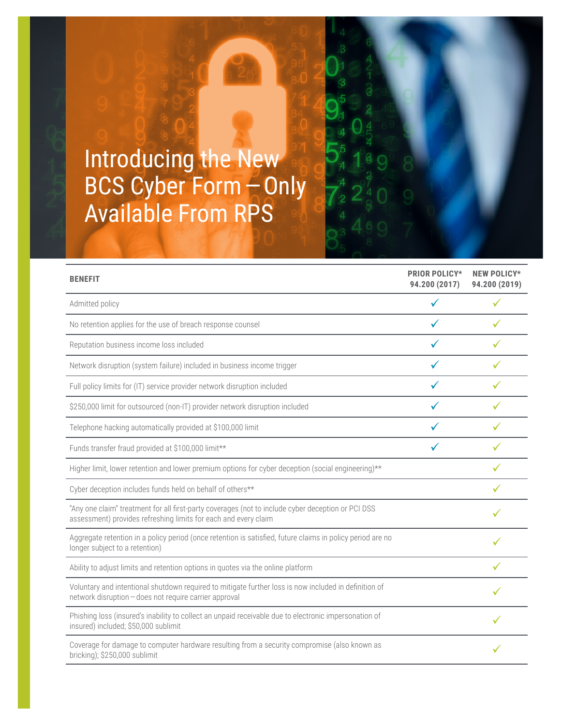## Introducing the New BCS Cyber Form - Only Available From RPS

| <b>BENEFIT</b>                                                                                                                                                        | <b>PRIOR POLICY*</b><br>94.200 (2017) | <b>NEW POLICY*</b><br>94.200 (2019) |
|-----------------------------------------------------------------------------------------------------------------------------------------------------------------------|---------------------------------------|-------------------------------------|
| Admitted policy                                                                                                                                                       |                                       |                                     |
| No retention applies for the use of breach response counsel                                                                                                           |                                       |                                     |
| Reputation business income loss included                                                                                                                              |                                       |                                     |
| Network disruption (system failure) included in business income trigger                                                                                               |                                       |                                     |
| Full policy limits for (IT) service provider network disruption included                                                                                              |                                       |                                     |
| \$250,000 limit for outsourced (non-IT) provider network disruption included                                                                                          |                                       |                                     |
| Telephone hacking automatically provided at \$100,000 limit                                                                                                           |                                       |                                     |
| Funds transfer fraud provided at \$100,000 limit**                                                                                                                    |                                       |                                     |
| Higher limit, lower retention and lower premium options for cyber deception (social engineering)**                                                                    |                                       |                                     |
| Cyber deception includes funds held on behalf of others**                                                                                                             |                                       |                                     |
| "Any one claim" treatment for all first-party coverages (not to include cyber deception or PCI DSS<br>assessment) provides refreshing limits for each and every claim |                                       |                                     |
| Aggregate retention in a policy period (once retention is satisfied, future claims in policy period are no<br>longer subject to a retention)                          |                                       |                                     |
| Ability to adjust limits and retention options in quotes via the online platform                                                                                      |                                       |                                     |
| Voluntary and intentional shutdown required to mitigate further loss is now included in definition of<br>network disruption - does not require carrier approval       |                                       |                                     |
| Phishing loss (insured's inability to collect an unpaid receivable due to electronic impersonation of<br>insured) included; \$50,000 sublimit                         |                                       |                                     |
| Coverage for damage to computer hardware resulting from a security compromise (also known as<br>bricking); \$250,000 sublimit                                         |                                       |                                     |